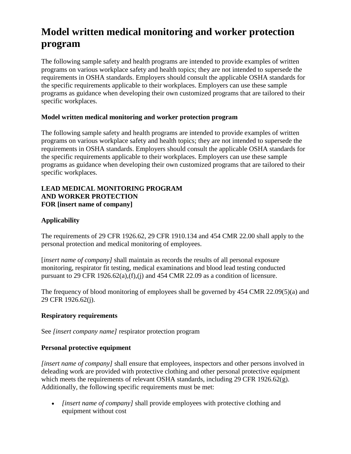# **Model written medical monitoring and worker protection program**

The following sample safety and health programs are intended to provide examples of written programs on various workplace safety and health topics; they are not intended to supersede the requirements in OSHA standards. Employers should consult the applicable OSHA standards for the specific requirements applicable to their workplaces. Employers can use these sample programs as guidance when developing their own customized programs that are tailored to their specific workplaces.

## **Model written medical monitoring and worker protection program**

The following sample safety and health programs are intended to provide examples of written programs on various workplace safety and health topics; they are not intended to supersede the requirements in OSHA standards. Employers should consult the applicable OSHA standards for the specific requirements applicable to their workplaces. Employers can use these sample programs as guidance when developing their own customized programs that are tailored to their specific workplaces.

#### **LEAD MEDICAL MONITORING PROGRAM AND WORKER PROTECTION FOR [insert name of company]**

## **Applicability**

The requirements of 29 CFR 1926.62, 29 CFR 1910.134 and 454 CMR 22.00 shall apply to the personal protection and medical monitoring of employees.

*linsert name of company]* shall maintain as records the results of all personal exposure monitoring, respirator fit testing, medical examinations and blood lead testing conducted pursuant to 29 CFR 1926.62(a),(f),(j) and 454 CMR 22.09 as a condition of licensure.

The frequency of blood monitoring of employees shall be governed by 454 CMR 22.09(5)(a) and 29 CFR 1926.62(j).

#### **Respiratory requirements**

See *[insert company name]* respirator protection program

## **Personal protective equipment**

*[insert name of company]* shall ensure that employees, inspectors and other persons involved in deleading work are provided with protective clothing and other personal protective equipment which meets the requirements of relevant OSHA standards, including 29 CFR 1926.62(g). Additionally, the following specific requirements must be met:

• *[insert name of company]* shall provide employees with protective clothing and equipment without cost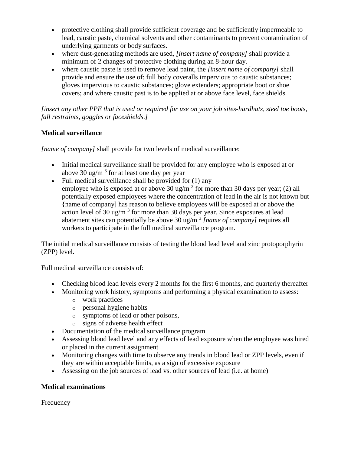- protective clothing shall provide sufficient coverage and be sufficiently impermeable to lead, caustic paste, chemical solvents and other contaminants to prevent contamination of underlying garments or body surfaces.
- where dust-generating methods are used, *[insert name of company]* shall provide a minimum of 2 changes of protective clothing during an 8-hour day.
- where caustic paste is used to remove lead paint, the *[insert name of company]* shall provide and ensure the use of: full body coveralls impervious to caustic substances; gloves impervious to caustic substances; glove extenders; appropriate boot or shoe covers; and where caustic past is to be applied at or above face level, face shields.

*[insert any other PPE that is used or required for use on your job sites-hardhats, steel toe boots, fall restraints, goggles or faceshields.]*

# **Medical surveillance**

*[name of company]* shall provide for two levels of medical surveillance:

- Initial medical surveillance shall be provided for any employee who is exposed at or above 30 ug/m<sup>3</sup> for at least one day per year
- Full medical surveillance shall be provided for  $(1)$  any employee who is exposed at or above 30 ug/m<sup>3</sup> for more than 30 days per year; (2) all potentially exposed employees where the concentration of lead in the air is not known but {name of company] has reason to believe employees will be exposed at or above the action level of 30 ug/m<sup>3</sup> for more than 30 days per year. Since exposures at lead abatement sites can potentially be above 30 ug/m <sup>3</sup> *[name of company]* requires all workers to participate in the full medical surveillance program.

The initial medical surveillance consists of testing the blood lead level and zinc protoporphyrin (ZPP) level.

Full medical surveillance consists of:

- Checking blood lead levels every 2 months for the first 6 months, and quarterly thereafter
- Monitoring work history, symptoms and performing a physical examination to assess:
	- o work practices
	- o personal hygiene habits
	- o symptoms of lead or other poisons,
	- o signs of adverse health effect
- Documentation of the medical surveillance program
- Assessing blood lead level and any effects of lead exposure when the employee was hired or placed in the current assignment
- Monitoring changes with time to observe any trends in blood lead or ZPP levels, even if they are within acceptable limits, as a sign of excessive exposure
- Assessing on the job sources of lead vs. other sources of lead (i.e. at home)

## **Medical examinations**

Frequency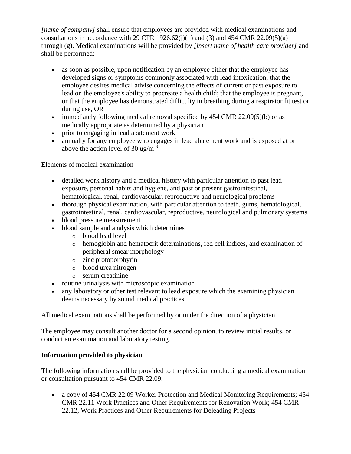*[name of company]* shall ensure that employees are provided with medical examinations and consultations in accordance with 29 CFR 1926.62(j)(1) and (3) and 454 CMR 22.09(5)(a) through (g). Medical examinations will be provided by *[insert name of health care provider]* and shall be performed:

- as soon as possible, upon notification by an employee either that the employee has developed signs or symptoms commonly associated with lead intoxication; that the employee desires medical advise concerning the effects of current or past exposure to lead on the employee's ability to procreate a health child; that the employee is pregnant, or that the employee has demonstrated difficulty in breathing during a respirator fit test or during use, OR
- immediately following medical removal specified by  $454$  CMR  $22.09(5)(b)$  or as medically appropriate as determined by a physician
- prior to engaging in lead abatement work
- annually for any employee who engages in lead abatement work and is exposed at or above the action level of 30 ug/m  $3\frac{3}{2}$

Elements of medical examination

- detailed work history and a medical history with particular attention to past lead exposure, personal habits and hygiene, and past or present gastrointestinal, hematological, renal, cardiovascular, reproductive and neurological problems
- thorough physical examination, with particular attention to teeth, gums, hematological, gastrointestinal, renal, cardiovascular, reproductive, neurological and pulmonary systems
- blood pressure measurement
- blood sample and analysis which determines
	- o blood lead level
	- o hemoglobin and hematocrit determinations, red cell indices, and examination of peripheral smear morphology
	- o zinc protoporphyrin
	- o blood urea nitrogen
	- o serum creatinine
- routine urinalysis with microscopic examination
- any laboratory or other test relevant to lead exposure which the examining physician deems necessary by sound medical practices

All medical examinations shall be performed by or under the direction of a physician.

The employee may consult another doctor for a second opinion, to review initial results, or conduct an examination and laboratory testing.

# **Information provided to physician**

The following information shall be provided to the physician conducting a medical examination or consultation pursuant to 454 CMR 22.09:

 a copy of 454 CMR 22.09 Worker Protection and Medical Monitoring Requirements; 454 CMR 22.11 Work Practices and Other Requirements for Renovation Work; 454 CMR 22.12, Work Practices and Other Requirements for Deleading Projects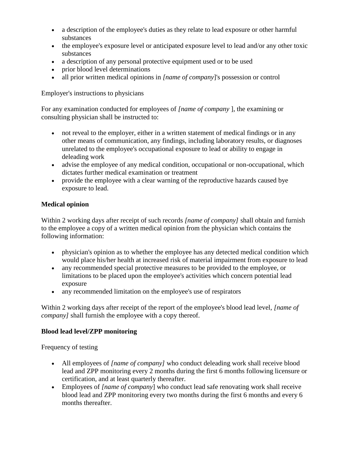- a description of the employee's duties as they relate to lead exposure or other harmful substances
- the employee's exposure level or anticipated exposure level to lead and/or any other toxic substances
- a description of any personal protective equipment used or to be used
- prior blood level determinations
- all prior written medical opinions in *[name of company*]'s possession or control

Employer's instructions to physicians

For any examination conducted for employees of *[name of company* ], the examining or consulting physician shall be instructed to:

- not reveal to the employer, either in a written statement of medical findings or in any other means of communication, any findings, including laboratory results, or diagnoses unrelated to the employee's occupational exposure to lead or ability to engage in deleading work
- advise the employee of any medical condition, occupational or non-occupational, which dictates further medical examination or treatment
- provide the employee with a clear warning of the reproductive hazards caused bye exposure to lead.

## **Medical opinion**

Within 2 working days after receipt of such records *[name of company]* shall obtain and furnish to the employee a copy of a written medical opinion from the physician which contains the following information:

- physician's opinion as to whether the employee has any detected medical condition which would place his/her health at increased risk of material impairment from exposure to lead
- any recommended special protective measures to be provided to the employee, or limitations to be placed upon the employee's activities which concern potential lead exposure
- any recommended limitation on the employee's use of respirators

Within 2 working days after receipt of the report of the employee's blood lead level, *[name of company]* shall furnish the employee with a copy thereof.

## **Blood lead level/ZPP monitoring**

Frequency of testing

- All employees of *[name of company]* who conduct deleading work shall receive blood lead and ZPP monitoring every 2 months during the first 6 months following licensure or certification, and at least quarterly thereafter.
- Employees of *[name of company*] who conduct lead safe renovating work shall receive blood lead and ZPP monitoring every two months during the first 6 months and every 6 months thereafter.